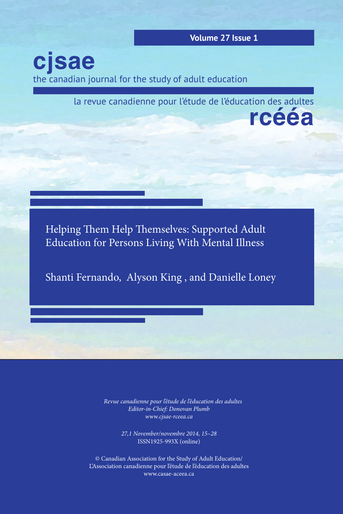**Volume 27 Issue 1**

the canadian journal for the study of adult education **cjsae**

> **rcééa** la revue canadienne pour l'étude de l'éducation des adultes

Helping Them Help Themselves: Supported Adult Education for Persons Living With Mental Illness

Shanti Fernando, Alyson King , and Danielle Loney

*La Revue canadienne pour l'étude de l'éducation des adultes Editor-in-Chief: Donovan Plumb www.cjsae-rceea.ca*

> *27,1 November/novembre 2014, 15–28* ISSN1925-993X (online)

© Canadian Association for the Study of Adult Education/ L'Association canadienne pour l'étude de l'éducation des adultes www.casae-aceea.ca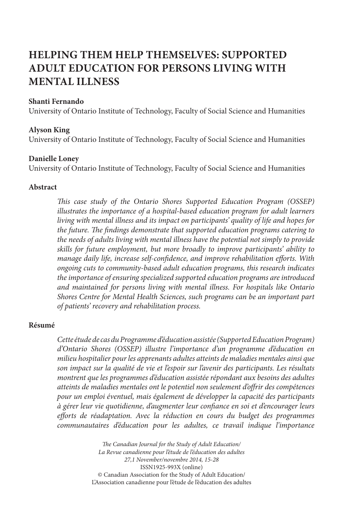# **HELPING THEM HELP THEMSELVES: SUPPORTED ADULT EDUCATION FOR PERSONS LIVING WITH MENTAL ILLNESS**

# **Shanti Fernando**

University of Ontario Institute of Technology, Faculty of Social Science and Humanities

#### **Alyson King**

University of Ontario Institute of Technology, Faculty of Social Science and Humanities

## **Danielle Loney**

University of Ontario Institute of Technology, Faculty of Social Science and Humanities

#### **Abstract**

*This case study of the Ontario Shores Supported Education Program (OSSEP) illustrates the importance of a hospital-based education program for adult learners living with mental illness and its impact on participants' quality of life and hopes for the future. The findings demonstrate that supported education programs catering to the needs of adults living with mental illness have the potential not simply to provide skills for future employment, but more broadly to improve participants' ability to manage daily life, increase self-confidence, and improve rehabilitation efforts. With ongoing cuts to community-based adult education programs, this research indicates the importance of ensuring specialized supported education programs are introduced and maintained for persons living with mental illness. For hospitals like Ontario Shores Centre for Mental Health Sciences, such programs can be an important part of patients' recovery and rehabilitation process.*

#### **Résumé**

*Cette étude de cas du Programme d'éducation assistée (Supported Education Program) d'Ontario Shores (OSSEP) illustre l'importance d'un programme d'éducation en milieu hospitalier pour les apprenants adultes atteints de maladies mentales ainsi que son impact sur la qualité de vie et l'espoir sur l'avenir des participants. Les résultats montrent que les programmes d'éducation assistée répondant aux besoins des adultes atteints de maladies mentales ont le potentiel non seulement d'offrir des compétences pour un emploi éventuel, mais également de développer la capacité des participants à gérer leur vie quotidienne, d'augmenter leur confiance en soi et d'encourager leurs efforts de réadaptation. Avec la réduction en cours du budget des programmes communautaires d'éducation pour les adultes, ce travail indique l'importance* 

> *The Canadian Journal for the Study of Adult Education/ La Revue canadienne pour l'étude de l'éducation des adultes 27,1 November/novembre 2014, 15-28* ISSN1925-993X (online) © Canadian Association for the Study of Adult Education/ L'Association canadienne pour l'étude de l'éducation des adultes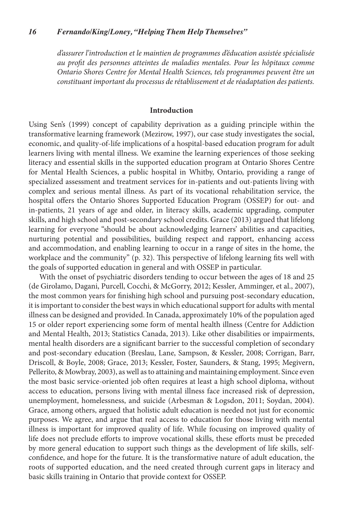# *16 Fernando/King/Loney, "Helping Them Help Themselves"*

*d'assurer l'introduction et le maintien de programmes d'éducation assistée spécialisée au profit des personnes atteintes de maladies mentales. Pour les hôpitaux comme Ontario Shores Centre for Mental Health Sciences, tels programmes peuvent être un constituant important du processus de rétablissement et de réadaptation des patients.*

#### **Introduction**

Using Sen's (1999) concept of capability deprivation as a guiding principle within the transformative learning framework (Mezirow, 1997), our case study investigates the social, economic, and quality-of-life implications of a hospital-based education program for adult learners living with mental illness. We examine the learning experiences of those seeking literacy and essential skills in the supported education program at Ontario Shores Centre for Mental Health Sciences, a public hospital in Whitby, Ontario, providing a range of specialized assessment and treatment services for in-patients and out-patients living with complex and serious mental illness. As part of its vocational rehabilitation service, the hospital offers the Ontario Shores Supported Education Program (OSSEP) for out- and in-patients, 21 years of age and older, in literacy skills, academic upgrading, computer skills, and high school and post-secondary school credits. Grace (2013) argued that lifelong learning for everyone "should be about acknowledging learners' abilities and capacities, nurturing potential and possibilities, building respect and rapport, enhancing access and accommodation, and enabling learning to occur in a range of sites in the home, the workplace and the community" (p. 32). This perspective of lifelong learning fits well with the goals of supported education in general and with OSSEP in particular.

With the onset of psychiatric disorders tending to occur between the ages of 18 and 25 (de Girolamo, Dagani, Purcell, Cocchi, & McGorry, 2012; Kessler, Amminger, et al., 2007), the most common years for finishing high school and pursuing post-secondary education, it is important to consider the best ways in which educational support for adults with mental illness can be designed and provided. In Canada, approximately 10% of the population aged 15 or older report experiencing some form of mental health illness (Centre for Addiction and Mental Health, 2013; Statistics Canada, 2013). Like other disabilities or impairments, mental health disorders are a significant barrier to the successful completion of secondary and post-secondary education (Breslau, Lane, Sampson, & Kessler, 2008; Corrigan, Barr, Driscoll, & Boyle, 2008; Grace, 2013; Kessler, Foster, Saunders, & Stang, 1995; Megivern, Pellerito, & Mowbray, 2003), as well as to attaining and maintaining employment. Since even the most basic service-oriented job often requires at least a high school diploma, without access to education, persons living with mental illness face increased risk of depression, unemployment, homelessness, and suicide (Arbesman & Logsdon, 2011; Soydan, 2004). Grace, among others, argued that holistic adult education is needed not just for economic purposes. We agree, and argue that real access to education for those living with mental illness is important for improved quality of life. While focusing on improved quality of life does not preclude efforts to improve vocational skills, these efforts must be preceded by more general education to support such things as the development of life skills, selfconfidence, and hope for the future. It is the transformative nature of adult education, the roots of supported education, and the need created through current gaps in literacy and basic skills training in Ontario that provide context for OSSEP.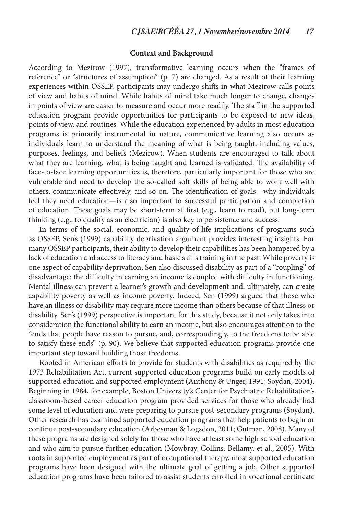# **Context and Background**

According to Mezirow (1997), transformative learning occurs when the "frames of reference" or "structures of assumption" (p. 7) are changed. As a result of their learning experiences within OSSEP, participants may undergo shifts in what Mezirow calls points of view and habits of mind. While habits of mind take much longer to change, changes in points of view are easier to measure and occur more readily. The staff in the supported education program provide opportunities for participants to be exposed to new ideas, points of view, and routines. While the education experienced by adults in most education programs is primarily instrumental in nature, communicative learning also occurs as individuals learn to understand the meaning of what is being taught, including values, purposes, feelings, and beliefs (Mezirow). When students are encouraged to talk about what they are learning, what is being taught and learned is validated. The availability of face-to-face learning opportunities is, therefore, particularly important for those who are vulnerable and need to develop the so-called soft skills of being able to work well with others, communicate effectively, and so on. The identification of goals—why individuals feel they need education—is also important to successful participation and completion of education. These goals may be short-term at first (e.g., learn to read), but long-term thinking (e.g., to qualify as an electrician) is also key to persistence and success.

In terms of the social, economic, and quality-of-life implications of programs such as OSSEP, Sen's (1999) capability deprivation argument provides interesting insights. For many OSSEP participants, their ability to develop their capabilities has been hampered by a lack of education and access to literacy and basic skills training in the past. While poverty is one aspect of capability deprivation, Sen also discussed disability as part of a "coupling" of disadvantage: the difficulty in earning an income is coupled with difficulty in functioning. Mental illness can prevent a learner's growth and development and, ultimately, can create capability poverty as well as income poverty. Indeed, Sen (1999) argued that those who have an illness or disability may require more income than others because of that illness or disability. Sen's (1999) perspective is important for this study, because it not only takes into consideration the functional ability to earn an income, but also encourages attention to the "ends that people have reason to pursue, and, correspondingly, to the freedoms to be able to satisfy these ends" (p. 90). We believe that supported education programs provide one important step toward building those freedoms.

Rooted in American efforts to provide for students with disabilities as required by the 1973 Rehabilitation Act, current supported education programs build on early models of supported education and supported employment (Anthony & Unger, 1991; Soydan, 2004). Beginning in 1984, for example, Boston University's Center for Psychiatric Rehabilitation's classroom-based career education program provided services for those who already had some level of education and were preparing to pursue post-secondary programs (Soydan). Other research has examined supported education programs that help patients to begin or continue post-secondary education (Arbesman & Logsdon, 2011; Gutman, 2008). Many of these programs are designed solely for those who have at least some high school education and who aim to pursue further education (Mowbray, Collins, Bellamy, et al., 2005). With roots in supported employment as part of occupational therapy, most supported education programs have been designed with the ultimate goal of getting a job. Other supported education programs have been tailored to assist students enrolled in vocational certificate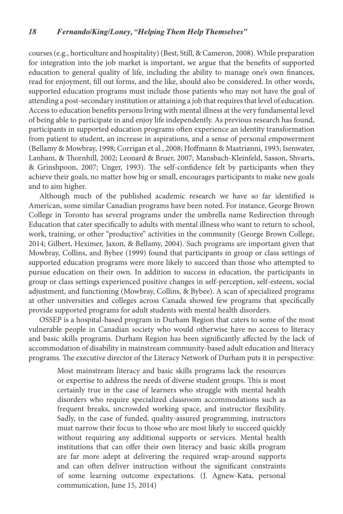courses (e.g., horticulture and hospitality) (Best, Still, & Cameron, 2008). While preparation for integration into the job market is important, we argue that the benefits of supported education to general quality of life, including the ability to manage one's own finances, read for enjoyment, fill out forms, and the like, should also be considered. In other words, supported education programs must include those patients who may not have the goal of attending a post-secondary institution or attaining a job that requires that level of education. Access to education benefits persons living with mental illness at the very fundamental level of being able to participate in and enjoy life independently. As previous research has found, participants in supported education programs often experience an identity transformation from patient to student, an increase in aspirations, and a sense of personal empowerment (Bellamy & Mowbray, 1998; Corrigan et al., 2008; Hoffmann & Mastrianni, 1993; Isenwater, Lanham, & Thornhill, 2002; Leonard & Bruer, 2007; Mansbach-Kleinfeld, Sasson, Shvarts, & Grinshpoon, 2007; Unger, 1993). The self-confidence felt by participants when they achieve their goals, no matter how big or small, encourages participants to make new goals and to aim higher.

Although much of the published academic research we have so far identified is American, some similar Canadian programs have been noted. For instance, George Brown College in Toronto has several programs under the umbrella name Redirection through Education that cater specifically to adults with mental illness who want to return to school, work, training, or other "productive" activities in the community (George Brown College, 2014; Gilbert, Heximer, Jaxon, & Bellamy, 2004). Such programs are important given that Mowbray, Collins, and Bybee (1999) found that participants in group or class settings of supported education programs were more likely to succeed than those who attempted to pursue education on their own. In addition to success in education, the participants in group or class settings experienced positive changes in self-perception, self-esteem, social adjustment, and functioning (Mowbray, Collins, & Bybee). A scan of specialized programs at other universities and colleges across Canada showed few programs that specifically provide supported programs for adult students with mental health disorders.

OSSEP is a hospital-based program in Durham Region that caters to some of the most vulnerable people in Canadian society who would otherwise have no access to literacy and basic skills programs. Durham Region has been significantly affected by the lack of accommodation of disability in mainstream community-based adult education and literacy programs. The executive director of the Literacy Network of Durham puts it in perspective:

Most mainstream literacy and basic skills programs lack the resources or expertise to address the needs of diverse student groups. This is most certainly true in the case of learners who struggle with mental health disorders who require specialized classroom accommodations such as frequent breaks, uncrowded working space, and instructor flexibility. Sadly, in the case of funded, quality-assured programming, instructors must narrow their focus to those who are most likely to succeed quickly without requiring any additional supports or services. Mental health institutions that can offer their own literacy and basic skills program are far more adept at delivering the required wrap-around supports and can often deliver instruction without the significant constraints of some learning outcome expectations. (J. Agnew-Kata, personal communication, June 15, 2014)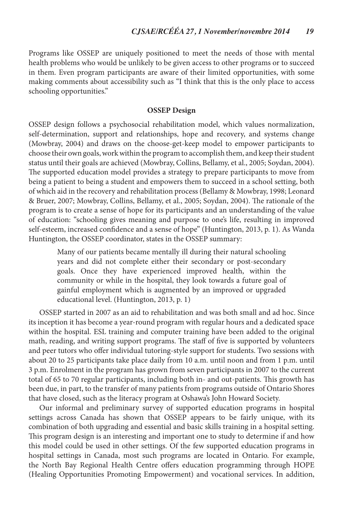Programs like OSSEP are uniquely positioned to meet the needs of those with mental health problems who would be unlikely to be given access to other programs or to succeed in them. Even program participants are aware of their limited opportunities, with some making comments about accessibility such as "I think that this is the only place to access schooling opportunities."

# **OSSEP Design**

OSSEP design follows a psychosocial rehabilitation model, which values normalization, self-determination, support and relationships, hope and recovery, and systems change (Mowbray, 2004) and draws on the choose-get-keep model to empower participants to choose their own goals, work within the program to accomplish them, and keep their student status until their goals are achieved (Mowbray, Collins, Bellamy, et al., 2005; Soydan, 2004). The supported education model provides a strategy to prepare participants to move from being a patient to being a student and empowers them to succeed in a school setting, both of which aid in the recovery and rehabilitation process (Bellamy & Mowbray, 1998; Leonard & Bruer, 2007; Mowbray, Collins, Bellamy, et al., 2005; Soydan, 2004). The rationale of the program is to create a sense of hope for its participants and an understanding of the value of education: "schooling gives meaning and purpose to one's life, resulting in improved self-esteem, increased confidence and a sense of hope" (Huntington, 2013, p. 1). As Wanda Huntington, the OSSEP coordinator, states in the OSSEP summary:

Many of our patients became mentally ill during their natural schooling years and did not complete either their secondary or post-secondary goals. Once they have experienced improved health, within the community or while in the hospital, they look towards a future goal of gainful employment which is augmented by an improved or upgraded educational level. (Huntington, 2013, p. 1)

OSSEP started in 2007 as an aid to rehabilitation and was both small and ad hoc. Since its inception it has become a year-round program with regular hours and a dedicated space within the hospital. ESL training and computer training have been added to the original math, reading, and writing support programs. The staff of five is supported by volunteers and peer tutors who offer individual tutoring-style support for students. Two sessions with about 20 to 25 participants take place daily from 10 a.m. until noon and from 1 p.m. until 3 p.m. Enrolment in the program has grown from seven participants in 2007 to the current total of 65 to 70 regular participants, including both in- and out-patients. This growth has been due, in part, to the transfer of many patients from programs outside of Ontario Shores that have closed, such as the literacy program at Oshawa's John Howard Society.

Our informal and preliminary survey of supported education programs in hospital settings across Canada has shown that OSSEP appears to be fairly unique, with its combination of both upgrading and essential and basic skills training in a hospital setting. This program design is an interesting and important one to study to determine if and how this model could be used in other settings. Of the few supported education programs in hospital settings in Canada, most such programs are located in Ontario. For example, the North Bay Regional Health Centre offers education programming through HOPE (Healing Opportunities Promoting Empowerment) and vocational services. In addition,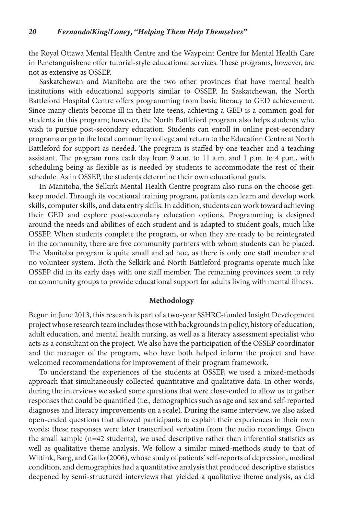the Royal Ottawa Mental Health Centre and the Waypoint Centre for Mental Health Care in Penetanguishene offer tutorial-style educational services. These programs, however, are not as extensive as OSSEP.

Saskatchewan and Manitoba are the two other provinces that have mental health institutions with educational supports similar to OSSEP. In Saskatchewan, the North Battleford Hospital Centre offers programming from basic literacy to GED achievement. Since many clients become ill in their late teens, achieving a GED is a common goal for students in this program; however, the North Battleford program also helps students who wish to pursue post-secondary education. Students can enroll in online post-secondary programs or go to the local community college and return to the Education Centre at North Battleford for support as needed. The program is staffed by one teacher and a teaching assistant. The program runs each day from 9 a.m. to 11 a.m. and 1 p.m. to 4 p.m., with scheduling being as flexible as is needed by students to accommodate the rest of their schedule. As in OSSEP, the students determine their own educational goals.

In Manitoba, the Selkirk Mental Health Centre program also runs on the choose-getkeep model. Through its vocational training program, patients can learn and develop work skills, computer skills, and data entry skills. In addition, students can work toward achieving their GED and explore post-secondary education options. Programming is designed around the needs and abilities of each student and is adapted to student goals, much like OSSEP. When students complete the program, or when they are ready to be reintegrated in the community, there are five community partners with whom students can be placed. The Manitoba program is quite small and ad hoc, as there is only one staff member and no volunteer system. Both the Selkirk and North Battleford programs operate much like OSSEP did in its early days with one staff member. The remaining provinces seem to rely on community groups to provide educational support for adults living with mental illness.

# **Methodology**

Begun in June 2013, this research is part of a two-year SSHRC-funded Insight Development project whose research team includes those with backgrounds in policy, history of education, adult education, and mental health nursing, as well as a literacy assessment specialist who acts as a consultant on the project. We also have the participation of the OSSEP coordinator and the manager of the program, who have both helped inform the project and have welcomed recommendations for improvement of their program framework.

To understand the experiences of the students at OSSEP, we used a mixed-methods approach that simultaneously collected quantitative and qualitative data. In other words, during the interviews we asked some questions that were close-ended to allow us to gather responses that could be quantified (i.e., demographics such as age and sex and self-reported diagnoses and literacy improvements on a scale). During the same interview, we also asked open-ended questions that allowed participants to explain their experiences in their own words; these responses were later transcribed verbatim from the audio recordings. Given the small sample (n=42 students), we used descriptive rather than inferential statistics as well as qualitative theme analysis. We follow a similar mixed-methods study to that of Wittink, Barg, and Gallo (2006), whose study of patients' self-reports of depression, medical condition, and demographics had a quantitative analysis that produced descriptive statistics deepened by semi-structured interviews that yielded a qualitative theme analysis, as did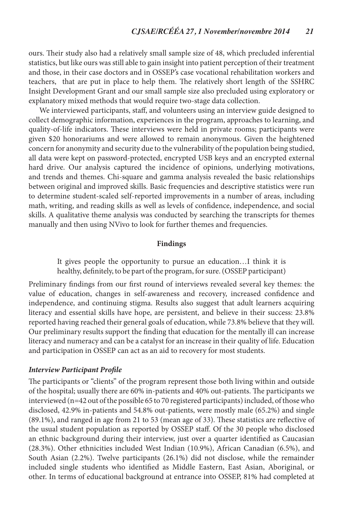ours. Their study also had a relatively small sample size of 48, which precluded inferential statistics, but like ours was still able to gain insight into patient perception of their treatment and those, in their case doctors and in OSSEP's case vocational rehabilitation workers and teachers, that are put in place to help them. The relatively short length of the SSHRC Insight Development Grant and our small sample size also precluded using exploratory or explanatory mixed methods that would require two-stage data collection.

We interviewed participants, staff, and volunteers using an interview guide designed to collect demographic information, experiences in the program, approaches to learning, and quality-of-life indicators. These interviews were held in private rooms; participants were given \$20 honorariums and were allowed to remain anonymous. Given the heightened concern for anonymity and security due to the vulnerability of the population being studied, all data were kept on password-protected, encrypted USB keys and an encrypted external hard drive. Our analysis captured the incidence of opinions, underlying motivations, and trends and themes. Chi-square and gamma analysis revealed the basic relationships between original and improved skills. Basic frequencies and descriptive statistics were run to determine student-scaled self-reported improvements in a number of areas, including math, writing, and reading skills as well as levels of confidence, independence, and social skills. A qualitative theme analysis was conducted by searching the transcripts for themes manually and then using NVivo to look for further themes and frequencies.

#### **Findings**

It gives people the opportunity to pursue an education…I think it is healthy, definitely, to be part of the program, for sure. (OSSEP participant)

Preliminary findings from our first round of interviews revealed several key themes: the value of education, changes in self-awareness and recovery, increased confidence and independence, and continuing stigma. Results also suggest that adult learners acquiring literacy and essential skills have hope, are persistent, and believe in their success: 23.8% reported having reached their general goals of education, while 73.8% believe that they will. Our preliminary results support the finding that education for the mentally ill can increase literacy and numeracy and can be a catalyst for an increase in their quality of life. Education and participation in OSSEP can act as an aid to recovery for most students.

#### *Interview Participant Profile*

The participants or "clients" of the program represent those both living within and outside of the hospital; usually there are 60% in-patients and 40% out-patients. The participants we interviewed (n=42 out of the possible 65 to 70 registered participants) included, of those who disclosed, 42.9% in-patients and 54.8% out-patients, were mostly male (65.2%) and single (89.1%), and ranged in age from 21 to 53 (mean age of 33). These statistics are reflective of the usual student population as reported by OSSEP staff. Of the 30 people who disclosed an ethnic background during their interview, just over a quarter identified as Caucasian (28.3%). Other ethnicities included West Indian (10.9%), African Canadian (6.5%), and South Asian (2.2%). Twelve participants (26.1%) did not disclose, while the remainder included single students who identified as Middle Eastern, East Asian, Aboriginal, or other. In terms of educational background at entrance into OSSEP, 81% had completed at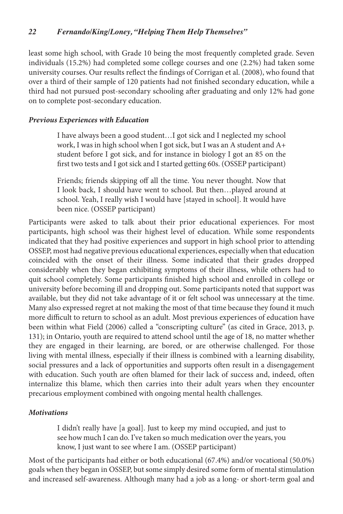least some high school, with Grade 10 being the most frequently completed grade. Seven individuals (15.2%) had completed some college courses and one (2.2%) had taken some university courses. Our results reflect the findings of Corrigan et al. (2008), who found that over a third of their sample of 120 patients had not finished secondary education, while a third had not pursued post-secondary schooling after graduating and only 12% had gone on to complete post-secondary education.

# *Previous Experiences with Education*

I have always been a good student…I got sick and I neglected my school work, I was in high school when I got sick, but I was an A student and A+ student before I got sick, and for instance in biology I got an 85 on the first two tests and I got sick and I started getting 60s. (OSSEP participant)

Friends; friends skipping off all the time. You never thought. Now that I look back, I should have went to school. But then…played around at school. Yeah, I really wish I would have [stayed in school]. It would have been nice. (OSSEP participant)

Participants were asked to talk about their prior educational experiences. For most participants, high school was their highest level of education. While some respondents indicated that they had positive experiences and support in high school prior to attending OSSEP, most had negative previous educational experiences, especially when that education coincided with the onset of their illness. Some indicated that their grades dropped considerably when they began exhibiting symptoms of their illness, while others had to quit school completely. Some participants finished high school and enrolled in college or university before becoming ill and dropping out. Some participants noted that support was available, but they did not take advantage of it or felt school was unnecessary at the time. Many also expressed regret at not making the most of that time because they found it much more difficult to return to school as an adult. Most previous experiences of education have been within what Field (2006) called a "conscripting culture" (as cited in Grace, 2013, p. 131); in Ontario, youth are required to attend school until the age of 18, no matter whether they are engaged in their learning, are bored, or are otherwise challenged. For those living with mental illness, especially if their illness is combined with a learning disability, social pressures and a lack of opportunities and supports often result in a disengagement with education. Such youth are often blamed for their lack of success and, indeed, often internalize this blame, which then carries into their adult years when they encounter precarious employment combined with ongoing mental health challenges.

# *Motivations*

I didn't really have [a goal]. Just to keep my mind occupied, and just to see how much I can do. I've taken so much medication over the years, you know, I just want to see where I am. (OSSEP participant)

Most of the participants had either or both educational (67.4%) and/or vocational (50.0%) goals when they began in OSSEP, but some simply desired some form of mental stimulation and increased self-awareness. Although many had a job as a long- or short-term goal and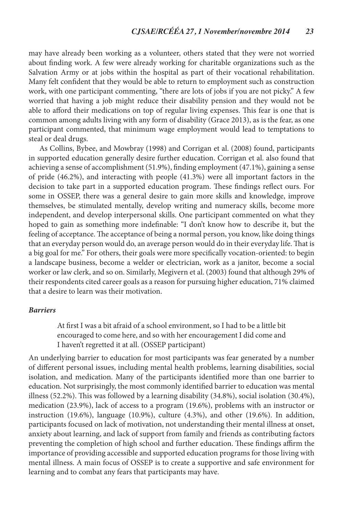may have already been working as a volunteer, others stated that they were not worried about finding work. A few were already working for charitable organizations such as the Salvation Army or at jobs within the hospital as part of their vocational rehabilitation. Many felt confident that they would be able to return to employment such as construction work, with one participant commenting, "there are lots of jobs if you are not picky." A few worried that having a job might reduce their disability pension and they would not be able to afford their medications on top of regular living expenses. This fear is one that is common among adults living with any form of disability (Grace 2013), as is the fear, as one participant commented, that minimum wage employment would lead to temptations to steal or deal drugs.

As Collins, Bybee, and Mowbray (1998) and Corrigan et al. (2008) found, participants in supported education generally desire further education. Corrigan et al. also found that achieving a sense of accomplishment (51.9%), finding employment (47.1%), gaining a sense of pride (46.2%), and interacting with people (41.3%) were all important factors in the decision to take part in a supported education program. These findings reflect ours. For some in OSSEP, there was a general desire to gain more skills and knowledge, improve themselves, be stimulated mentally, develop writing and numeracy skills, become more independent, and develop interpersonal skills. One participant commented on what they hoped to gain as something more indefinable: "I don't know how to describe it, but the feeling of acceptance. The acceptance of being a normal person, you know, like doing things that an everyday person would do, an average person would do in their everyday life. That is a big goal for me." For others, their goals were more specifically vocation-oriented: to begin a landscape business, become a welder or electrician, work as a janitor, become a social worker or law clerk, and so on. Similarly, Megivern et al. (2003) found that although 29% of their respondents cited career goals as a reason for pursuing higher education, 71% claimed that a desire to learn was their motivation.

#### *Barriers*

At first I was a bit afraid of a school environment, so I had to be a little bit encouraged to come here, and so with her encouragement I did come and I haven't regretted it at all. (OSSEP participant)

An underlying barrier to education for most participants was fear generated by a number of different personal issues, including mental health problems, learning disabilities, social isolation, and medication. Many of the participants identified more than one barrier to education. Not surprisingly, the most commonly identified barrier to education was mental illness (52.2%). This was followed by a learning disability (34.8%), social isolation (30.4%), medication (23.9%), lack of access to a program (19.6%), problems with an instructor or instruction (19.6%), language (10.9%), culture (4.3%), and other (19.6%). In addition, participants focused on lack of motivation, not understanding their mental illness at onset, anxiety about learning, and lack of support from family and friends as contributing factors preventing the completion of high school and further education. These findings affirm the importance of providing accessible and supported education programs for those living with mental illness. A main focus of OSSEP is to create a supportive and safe environment for learning and to combat any fears that participants may have.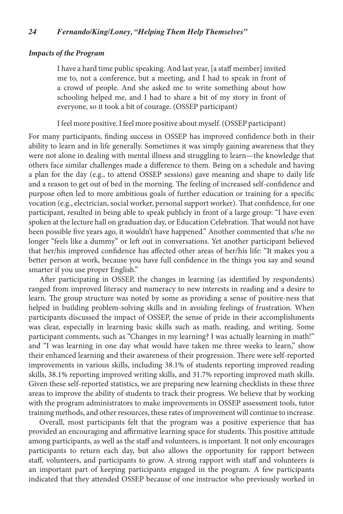# *Impacts of the Program*

I have a hard time public speaking. And last year, [a staff member] invited me to, not a conference, but a meeting, and I had to speak in front of a crowd of people. And she asked me to write something about how schooling helped me, and I had to share a bit of my story in front of everyone, so it took a bit of courage. (OSSEP participant)

I feel more positive. I feel more positive about myself. (OSSEP participant)

For many participants, finding success in OSSEP has improved confidence both in their ability to learn and in life generally. Sometimes it was simply gaining awareness that they were not alone in dealing with mental illness and struggling to learn—the knowledge that others face similar challenges made a difference to them. Being on a schedule and having a plan for the day (e.g., to attend OSSEP sessions) gave meaning and shape to daily life and a reason to get out of bed in the morning. The feeling of increased self-confidence and purpose often led to more ambitious goals of further education or training for a specific vocation (e.g., electrician, social worker, personal support worker). That confidence, for one participant, resulted in being able to speak publicly in front of a large group: "I have even spoken at the lecture hall on graduation day, or Education Celebration. That would not have been possible five years ago, it wouldn't have happened." Another commented that s/he no longer "feels like a dummy" or left out in conversations. Yet another participant believed that her/his improved confidence has affected other areas of her/his life: "It makes you a better person at work, because you have full confidence in the things you say and sound smarter if you use proper English."

After participating in OSSEP, the changes in learning (as identified by respondents) ranged from improved literacy and numeracy to new interests in reading and a desire to learn. The group structure was noted by some as providing a sense of positive-ness that helped in building problem-solving skills and in avoiding feelings of frustration. When participants discussed the impact of OSSEP, the sense of pride in their accomplishments was clear, especially in learning basic skills such as math, reading, and writing. Some participant comments, such as "Changes in my learning? I was actually learning in math!" and "I was learning in one day what would have taken me three weeks to learn," show their enhanced learning and their awareness of their progression. There were self-reported improvements in various skills, including 38.1% of students reporting improved reading skills, 38.1% reporting improved writing skills, and 31.7% reporting improved math skills. Given these self-reported statistics, we are preparing new learning checklists in these three areas to improve the ability of students to track their progress. We believe that by working with the program administrators to make improvements in OSSEP assessment tools, tutor training methods, and other resources, these rates of improvement will continue to increase.

Overall, most participants felt that the program was a positive experience that has provided an encouraging and affirmative learning space for students. This positive attitude among participants, as well as the staff and volunteers, is important. It not only encourages participants to return each day, but also allows the opportunity for rapport between staff, volunteers, and participants to grow. A strong rapport with staff and volunteers is an important part of keeping participants engaged in the program. A few participants indicated that they attended OSSEP because of one instructor who previously worked in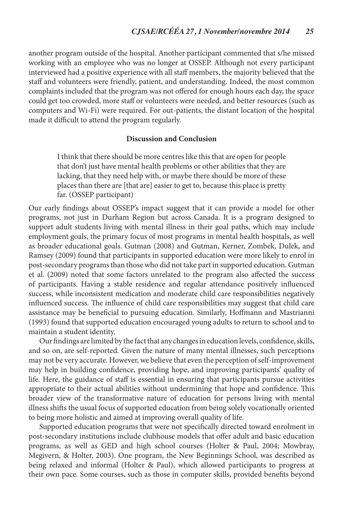another program outside of the hospital. Another participant commented that s/he missed working with an employee who was no longer at OSSEP. Although not every participant interviewed had a positive experience with all staff members, the majority believed that the staff and volunteers were friendly, patient, and understanding. Indeed, the most common complaints included that the program was not offered for enough hours each day, the space could get too crowded, more staff or volunteers were needed, and better resources (such as computers and Wi-Fi) were required. For out-patients, the distant location of the hospital made it difficult to attend the program regularly.

# **Discussion and Conclusion**

I think that there should be more centres like this that are open for people that don't just have mental health problems or other abilities that they are lacking, that they need help with, or maybe there should be more of these places than there are [that are] easier to get to, because this place is pretty far. (OSSEP participant)

Our early findings about OSSEP's impact suggest that it can provide a model for other programs, not just in Durham Region but across Canada. It is a program designed to support adult students living with mental illness in their goal paths, which may include employment goals, the primary focus of most programs in mental health hospitals, as well as broader educational goals. Gutman (2008) and Gutman, Kerner, Zombek, Dulek, and Ramsey (2009) found that participants in supported education were more likely to enrol in post-secondary programs than those who did not take part in supported education. Gutman et al. (2009) noted that some factors unrelated to the program also affected the success of participants. Having a stable residence and regular attendance positively influenced success, while inconsistent medication and moderate child care responsibilities negatively influenced success. The influence of child care responsibilities may suggest that child care assistance may be beneficial to pursuing education. Similarly, Hoffmann and Mastrianni (1993) found that supported education encouraged young adults to return to school and to maintain a student identity.

Our findings are limited by the fact that any changes in education levels, confidence, skills, and so on, are self-reported. Given the nature of many mental illnesses, such perceptions may not be very accurate. However, we believe that even the perception of self-improvement may help in building confidence, providing hope, and improving participants' quality of life. Here, the guidance of staff is essential in ensuring that participants pursue activities appropriate to their actual abilities without undermining that hope and confidence. This broader view of the transformative nature of education for persons living with mental illness shifts the usual focus of supported education from being solely vocationally oriented to being more holistic and aimed at improving overall quality of life.

Supported education programs that were not specifically directed toward enrolment in post-secondary institutions include clubhouse models that offer adult and basic education programs, as well as GED and high school courses (Holter & Paul, 2004; Mowbray, Megivern, & Holter, 2003). One program, the New Beginnings School, was described as being relaxed and informal (Holter & Paul), which allowed participants to progress at their own pace. Some courses, such as those in computer skills, provided benefits beyond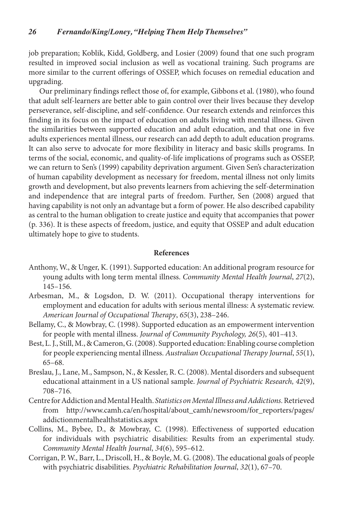job preparation; Koblik, Kidd, Goldberg, and Losier (2009) found that one such program resulted in improved social inclusion as well as vocational training. Such programs are more similar to the current offerings of OSSEP, which focuses on remedial education and upgrading.

Our preliminary findings reflect those of, for example, Gibbons et al. (1980), who found that adult self-learners are better able to gain control over their lives because they develop perseverance, self-discipline, and self-confidence. Our research extends and reinforces this finding in its focus on the impact of education on adults living with mental illness. Given the similarities between supported education and adult education, and that one in five adults experiences mental illness, our research can add depth to adult education programs. It can also serve to advocate for more flexibility in literacy and basic skills programs. In terms of the social, economic, and quality-of-life implications of programs such as OSSEP, we can return to Sen's (1999) capability deprivation argument. Given Sen's characterization of human capability development as necessary for freedom, mental illness not only limits growth and development, but also prevents learners from achieving the self-determination and independence that are integral parts of freedom. Further, Sen (2008) argued that having capability is not only an advantage but a form of power. He also described capability as central to the human obligation to create justice and equity that accompanies that power (p. 336). It is these aspects of freedom, justice, and equity that OSSEP and adult education ultimately hope to give to students.

#### **References**

- Anthony, W., & Unger, K. (1991). Supported education: An additional program resource for young adults with long term mental illness. *Community Mental Health Journal*, *27*(2), 145–156.
- Arbesman, M., & Logsdon, D. W. (2011). Occupational therapy interventions for employment and education for adults with serious mental illness: A systematic review. *American Journal of Occupational Therapy*, *65*(3), 238–246.
- Bellamy, C., & Mowbray, C. (1998). Supported education as an empowerment intervention for people with mental illness. *Journal of Community Psychology, 26*(5), 401–413.
- Best, L. J., Still, M., & Cameron, G. (2008). Supported education: Enabling course completion for people experiencing mental illness. *Australian Occupational Therapy Journal*, *55*(1), 65–68.
- Breslau, J., Lane, M., Sampson, N., & Kessler, R. C. (2008). Mental disorders and subsequent educational attainment in a US national sample. *Journal of Psychiatric Research, 42*(9), 708–716.
- Centre for Addiction and Mental Health. *Statistics on Mental Illness and Addictions.* Retrieved from http://www.camh.ca/en/hospital/about\_camh/newsroom/for\_reporters/pages/ addictionmentalhealthstatistics.aspx
- Collins, M., Bybee, D., & Mowbray, C. (1998). Effectiveness of supported education for individuals with psychiatric disabilities: Results from an experimental study. *Community Mental Health Journal*, *34*(6), 595–612.
- Corrigan, P. W., Barr, L., Driscoll, H., & Boyle, M. G. (2008). The educational goals of people with psychiatric disabilities. *Psychiatric Rehabilitation Journal*, *32*(1), 67–70.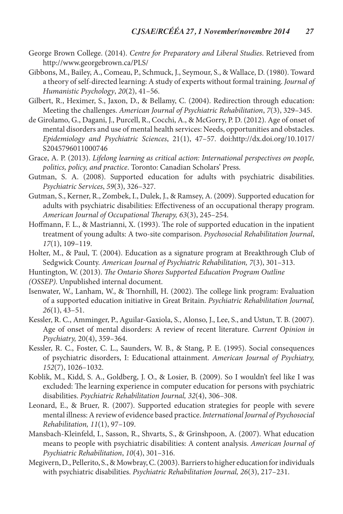- George Brown College. (2014). *Centre for Preparatory and Liberal Studies*. Retrieved from http://www.georgebrown.ca/PLS/
- Gibbons, M., Bailey, A., Comeau, P., Schmuck, J., Seymour, S., & Wallace, D. (1980). Toward a theory of self-directed learning: A study of experts without formal training. *Journal of Humanistic Psychology*, *20*(2), 41–56.
- Gilbert, R., Heximer, S., Jaxon, D., & Bellamy, C. (2004). Redirection through education: Meeting the challenges. *American Journal of Psychiatric Rehabilitation*, *7*(3), 329–345.
- de Girolamo, G., Dagani, J., Purcell, R., Cocchi, A., & McGorry, P. D. (2012). Age of onset of mental disorders and use of mental health services: Needs, opportunities and obstacles. *Epidemiology and Psychiatric Sciences*, 21(1), 47–57. doi:http://dx.doi.org/10.1017/ S2045796011000746
- Grace, A. P. (2013). *Lifelong learning as critical action: International perspectives on people, politics, policy, and practice*. Toronto: Canadian Scholars' Press.
- Gutman, S. A. (2008). Supported education for adults with psychiatric disabilities. *Psychiatric Services*, *59*(3), 326–327.
- Gutman, S., Kerner, R., Zombek, I., Dulek, J., & Ramsey, A. (2009). Supported education for adults with psychiatric disabilities: Effectiveness of an occupational therapy program. *American Journal of Occupational Therapy, 63*(3), 245–254.
- Hoffmann, F. L., & Mastrianni, X. (1993). The role of supported education in the inpatient treatment of young adults: A two-site comparison. *Psychosocial Rehabilitation Journal*, *17*(1), 109–119.
- Holter, M., & Paul, T. (2004). Education as a signature program at Breakthrough Club of Sedgwick County. *American Journal of Psychiatric Rehabilitation, 7*(3), 301–313.
- Huntington, W. (2013). *The Ontario Shores Supported Education Program Outline*
- *(OSSEP)*. Unpublished internal document.
- Isenwater, W., Lanham, W., & Thornhill, H. (2002). The college link program: Evaluation of a supported education initiative in Great Britain. *Psychiatric Rehabilitation Journal, 26*(1), 43–51.
- Kessler, R. C., Amminger, P., Aguilar-Gaxiola, S., Alonso, J., Lee, S., and Ustun, T. B. (2007). Age of onset of mental disorders: A review of recent literature. *Current Opinion in Psychiatry,* 20(4), 359–364.
- Kessler, R. C., Foster, C. L., Saunders, W. B., & Stang, P. E. (1995). Social consequences of psychiatric disorders, I: Educational attainment. *American Journal of Psychiatry, 152*(7), 1026–1032.
- Koblik, M., Kidd, S. A., Goldberg, J. O., & Losier, B. (2009). So I wouldn't feel like I was excluded: The learning experience in computer education for persons with psychiatric disabilities. *Psychiatric Rehabilitation Journal, 32*(4), 306–308.
- Leonard, E., & Bruer, R. (2007). Supported education strategies for people with severe mental illness: A review of evidence based practice. *International Journal of Psychosocial Rehabilitation, 11*(1), 97–109.
- Mansbach-Kleinfeld, I., Sasson, R., Shvarts, S., & Grinshpoon, A. (2007). What education means to people with psychiatric disabilities: A content analysis. *American Journal of Psychiatric Rehabilitation*, *10*(4), 301–316.
- Megivern, D., Pellerito, S., & Mowbray, C. (2003). Barriers to higher education for individuals with psychiatric disabilities. *Psychiatric Rehabilitation Journal, 26*(3), 217–231.